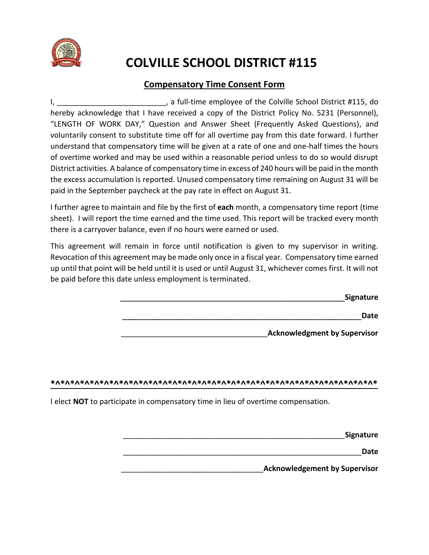

# **COLVILLE SCHOOL DISTRICT #115**

# **Compensatory Time Consent Form**

I, Letter the Colville School District #115, do is the Colville School District #115, do hereby acknowledge that I have received a copy of the District Policy No. 5231 (Personnel), "LENGTH OF WORK DAY," Question and Answer Sheet (Frequently Asked Questions), and voluntarily consent to substitute time off for all overtime pay from this date forward. I further understand that compensatory time will be given at a rate of one and one-half times the hours of overtime worked and may be used within a reasonable period unless to do so would disrupt District activities. A balance of compensatory time in excess of 240 hours will be paid in the month the excess accumulation is reported. Unused compensatory time remaining on August 31 will be paid in the September paycheck at the pay rate in effect on August 31.

I further agree to maintain and file by the first of **each** month, a compensatory time report (time sheet). I will report the time earned and the time used. This report will be tracked every month there is a carryover balance, even if no hours were earned or used.

This agreement will remain in force until notification is given to my supervisor in writing. Revocation of this agreement may be made only once in a fiscal year. Compensatory time earned up until that point will be held until it is used or until August 31, whichever comes first. It will not be paid before this date unless employment is terminated.

| Signature                           |  |
|-------------------------------------|--|
| Date                                |  |
| <b>Acknowledgment by Supervisor</b> |  |

### **\*^\*^\*^\*^\*^\*^\*^\*^\*^\*^\*^\*^\*^\*^\*^\*^\*^\*^\*^\*^\*^\*^\*^\*^\*^\*^\*^\*^\*^\*^\*^\*^\*^\***

I elect **NOT** to participate in compensatory time in lieu of overtime compensation.

| <b>Signature</b>                     |  |
|--------------------------------------|--|
| Date                                 |  |
| <b>Acknowledgement by Supervisor</b> |  |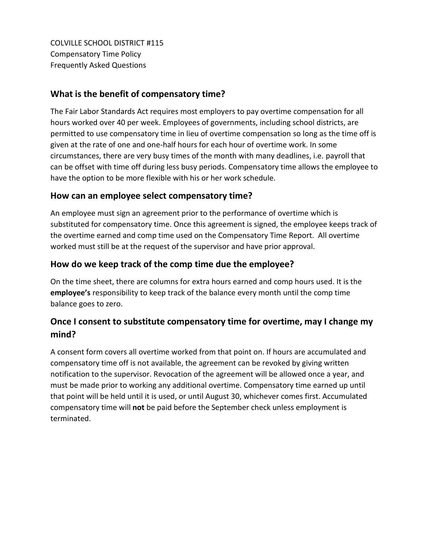COLVILLE SCHOOL DISTRICT #115 Compensatory Time Policy Frequently Asked Questions

## **What is the benefit of compensatory time?**

The Fair Labor Standards Act requires most employers to pay overtime compensation for all hours worked over 40 per week. Employees of governments, including school districts, are permitted to use compensatory time in lieu of overtime compensation so long as the time off is given at the rate of one and one-half hours for each hour of overtime work. In some circumstances, there are very busy times of the month with many deadlines, i.e. payroll that can be offset with time off during less busy periods. Compensatory time allows the employee to have the option to be more flexible with his or her work schedule.

## **How can an employee select compensatory time?**

An employee must sign an agreement prior to the performance of overtime which is substituted for compensatory time. Once this agreement is signed, the employee keeps track of the overtime earned and comp time used on the Compensatory Time Report. All overtime worked must still be at the request of the supervisor and have prior approval.

# **How do we keep track of the comp time due the employee?**

On the time sheet, there are columns for extra hours earned and comp hours used. It is the **employee's** responsibility to keep track of the balance every month until the comp time balance goes to zero.

# **Once I consent to substitute compensatory time for overtime, may I change my mind?**

A consent form covers all overtime worked from that point on. If hours are accumulated and compensatory time off is not available, the agreement can be revoked by giving written notification to the supervisor. Revocation of the agreement will be allowed once a year, and must be made prior to working any additional overtime. Compensatory time earned up until that point will be held until it is used, or until August 30, whichever comes first. Accumulated compensatory time will **not** be paid before the September check unless employment is terminated.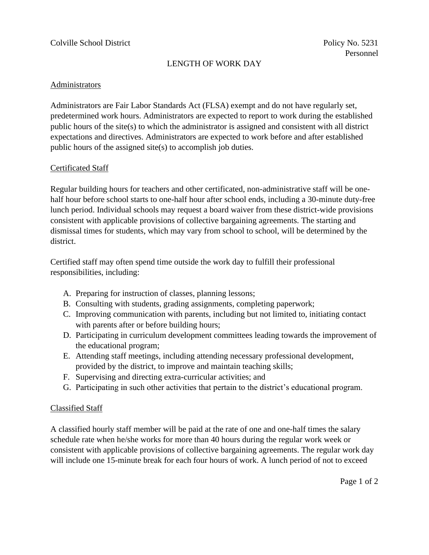### LENGTH OF WORK DAY

### Administrators

Administrators are Fair Labor Standards Act (FLSA) exempt and do not have regularly set, predetermined work hours. Administrators are expected to report to work during the established public hours of the site(s) to which the administrator is assigned and consistent with all district expectations and directives. Administrators are expected to work before and after established public hours of the assigned site(s) to accomplish job duties.

### Certificated Staff

Regular building hours for teachers and other certificated, non-administrative staff will be onehalf hour before school starts to one-half hour after school ends, including a 30-minute duty-free lunch period. Individual schools may request a board waiver from these district-wide provisions consistent with applicable provisions of collective bargaining agreements. The starting and dismissal times for students, which may vary from school to school, will be determined by the district.

Certified staff may often spend time outside the work day to fulfill their professional responsibilities, including:

- A. Preparing for instruction of classes, planning lessons;
- B. Consulting with students, grading assignments, completing paperwork;
- C. Improving communication with parents, including but not limited to, initiating contact with parents after or before building hours;
- D. Participating in curriculum development committees leading towards the improvement of the educational program;
- E. Attending staff meetings, including attending necessary professional development, provided by the district, to improve and maintain teaching skills;
- F. Supervising and directing extra-curricular activities; and
- G. Participating in such other activities that pertain to the district's educational program.

### Classified Staff

A classified hourly staff member will be paid at the rate of one and one-half times the salary schedule rate when he/she works for more than 40 hours during the regular work week or consistent with applicable provisions of collective bargaining agreements. The regular work day will include one 15-minute break for each four hours of work. A lunch period of not to exceed